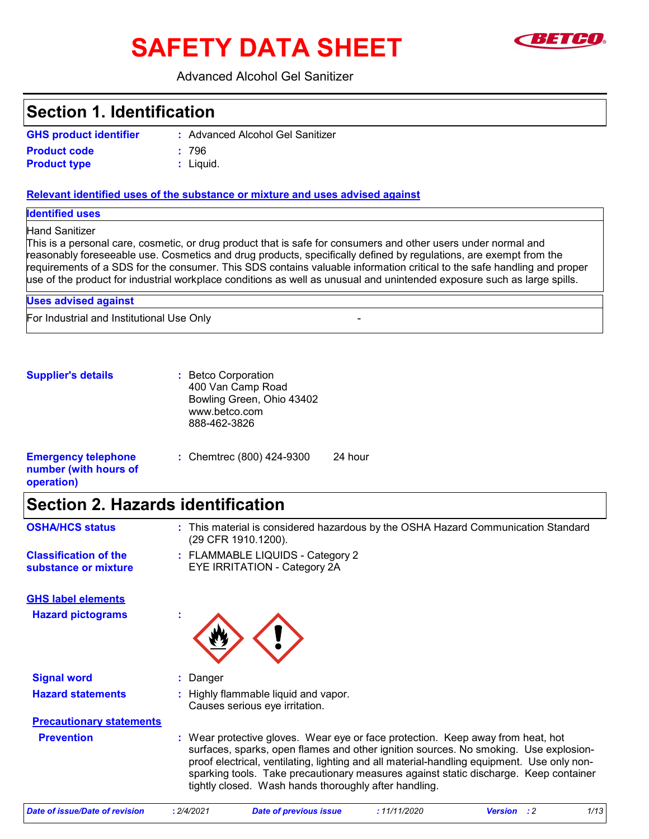# **SAFETY DATA SHEET**



### Advanced Alcohol Gel Sanitizer

## **Section 1. Identification**

| <b>GHS product identifier</b> |  |
|-------------------------------|--|
| <b>Product code</b>           |  |
| <b>Product type</b>           |  |

Advanced Alcohol Gel Sanitizer **: Product code :** 796

Liquid. **:**

### **Relevant identified uses of the substance or mixture and uses advised against**

**Identified uses**

### Hand Sanitizer

This is a personal care, cosmetic, or drug product that is safe for consumers and other users under normal and reasonably foreseeable use. Cosmetics and drug products, specifically defined by regulations, are exempt from the requirements of a SDS for the consumer. This SDS contains valuable information critical to the safe handling and proper use of the product for industrial workplace conditions as well as unusual and unintended exposure such as large spills.

For Industrial and Institutional Use Only - **Uses advised against**

**Supplier's details :** Betco Corporation 400 Van Camp Road Bowling Green, Ohio 43402 www.betco.com 888-462-3826

| <b>Emergency telephone</b> | : Chemirec $(800)$ 424-9300 | 24 hour |
|----------------------------|-----------------------------|---------|
| number (with hours of      |                             |         |
| operation)                 |                             |         |

## **Section 2. Hazards identification**

| <b>OSHA/HCS status</b>                                | : This material is considered hazardous by the OSHA Hazard Communication Standard<br>(29 CFR 1910.1200). |
|-------------------------------------------------------|----------------------------------------------------------------------------------------------------------|
| <b>Classification of the</b><br>substance or mixture  | : FLAMMABLE LIQUIDS - Category 2<br><b>EYE IRRITATION - Category 2A</b>                                  |
| <b>GHS label elements</b><br><b>Hazard pictograms</b> |                                                                                                          |
|                                                       | $\mathbf{r}$                                                                                             |
|                                                       |                                                                                                          |
| <b>Signal word</b>                                    | Danger                                                                                                   |
| <b>Hazard statements</b>                              | Highly flammable liquid and vapor.                                                                       |

Causes serious eye irritation.

## **Precautionary statements**

**Prevention :** Wear protective gloves. Wear eye or face protection. Keep away from heat, hot surfaces, sparks, open flames and other ignition sources. No smoking. Use explosionproof electrical, ventilating, lighting and all material-handling equipment. Use only nonsparking tools. Take precautionary measures against static discharge. Keep container tightly closed. Wash hands thoroughly after handling.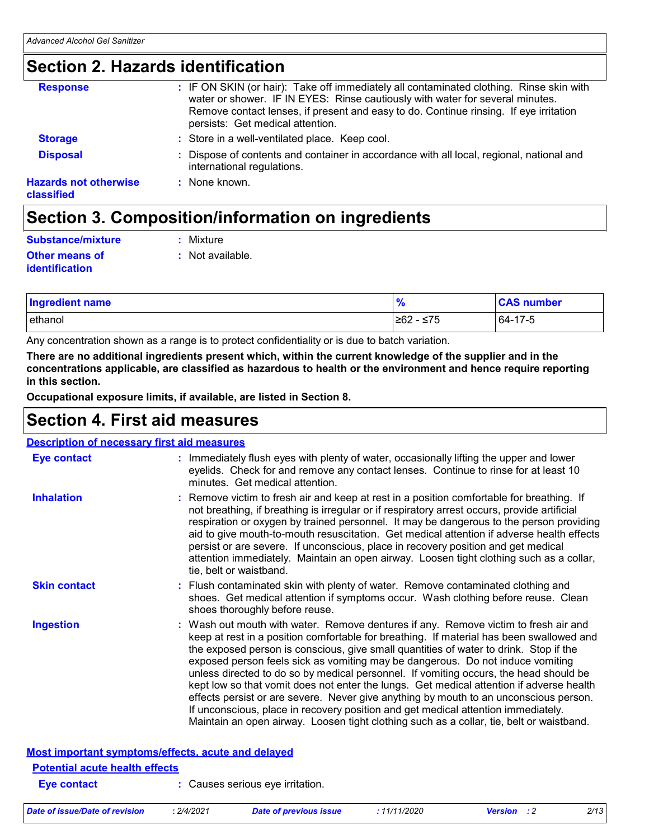## **Section 2. Hazards identification**

| <b>Response</b>                            | : IF ON SKIN (or hair): Take off immediately all contaminated clothing. Rinse skin with<br>water or shower. IF IN EYES: Rinse cautiously with water for several minutes.<br>Remove contact lenses, if present and easy to do. Continue rinsing. If eye irritation<br>persists: Get medical attention. |
|--------------------------------------------|-------------------------------------------------------------------------------------------------------------------------------------------------------------------------------------------------------------------------------------------------------------------------------------------------------|
| <b>Storage</b>                             | : Store in a well-ventilated place. Keep cool.                                                                                                                                                                                                                                                        |
| <b>Disposal</b>                            | Dispose of contents and container in accordance with all local, regional, national and<br>international regulations.                                                                                                                                                                                  |
| <b>Hazards not otherwise</b><br>classified | : None known.                                                                                                                                                                                                                                                                                         |
|                                            |                                                                                                                                                                                                                                                                                                       |

## **Section 3. Composition/information on ingredients**

| Substance/mixture                       | : Mixture        |
|-----------------------------------------|------------------|
| Other means of<br><b>identification</b> | : Not available. |
|                                         |                  |

| <b>Ingredient name</b> | $\mathbf{0}$<br>70 | <b>CAS number</b> |
|------------------------|--------------------|-------------------|
| ethanol                | ≥62 -<br>· ≤75     | 64-17-5           |

Any concentration shown as a range is to protect confidentiality or is due to batch variation.

**There are no additional ingredients present which, within the current knowledge of the supplier and in the concentrations applicable, are classified as hazardous to health or the environment and hence require reporting in this section.**

**Occupational exposure limits, if available, are listed in Section 8.**

## **Section 4. First aid measures**

### **Description of necessary first aid measures**

| <b>Eye contact</b>                    | : Immediately flush eyes with plenty of water, occasionally lifting the upper and lower<br>eyelids. Check for and remove any contact lenses. Continue to rinse for at least 10<br>minutes. Get medical attention.                                                                                                                                                                                                                                                                                                                                                                                                                                                                                                                                                                                                         |
|---------------------------------------|---------------------------------------------------------------------------------------------------------------------------------------------------------------------------------------------------------------------------------------------------------------------------------------------------------------------------------------------------------------------------------------------------------------------------------------------------------------------------------------------------------------------------------------------------------------------------------------------------------------------------------------------------------------------------------------------------------------------------------------------------------------------------------------------------------------------------|
| <b>Inhalation</b>                     | : Remove victim to fresh air and keep at rest in a position comfortable for breathing. If<br>not breathing, if breathing is irregular or if respiratory arrest occurs, provide artificial<br>respiration or oxygen by trained personnel. It may be dangerous to the person providing<br>aid to give mouth-to-mouth resuscitation. Get medical attention if adverse health effects<br>persist or are severe. If unconscious, place in recovery position and get medical<br>attention immediately. Maintain an open airway. Loosen tight clothing such as a collar,<br>tie, belt or waistband.                                                                                                                                                                                                                              |
| <b>Skin contact</b>                   | : Flush contaminated skin with plenty of water. Remove contaminated clothing and<br>shoes. Get medical attention if symptoms occur. Wash clothing before reuse. Clean<br>shoes thoroughly before reuse.                                                                                                                                                                                                                                                                                                                                                                                                                                                                                                                                                                                                                   |
| <b>Ingestion</b>                      | : Wash out mouth with water. Remove dentures if any. Remove victim to fresh air and<br>keep at rest in a position comfortable for breathing. If material has been swallowed and<br>the exposed person is conscious, give small quantities of water to drink. Stop if the<br>exposed person feels sick as vomiting may be dangerous. Do not induce vomiting<br>unless directed to do so by medical personnel. If vomiting occurs, the head should be<br>kept low so that vomit does not enter the lungs. Get medical attention if adverse health<br>effects persist or are severe. Never give anything by mouth to an unconscious person.<br>If unconscious, place in recovery position and get medical attention immediately.<br>Maintain an open airway. Loosen tight clothing such as a collar, tie, belt or waistband. |
|                                       | Most important symptoms/effects, acute and delayed                                                                                                                                                                                                                                                                                                                                                                                                                                                                                                                                                                                                                                                                                                                                                                        |
| <b>Potential acute health effects</b> |                                                                                                                                                                                                                                                                                                                                                                                                                                                                                                                                                                                                                                                                                                                                                                                                                           |
| <b>Eye contact</b>                    | Causes serious eye irritation.                                                                                                                                                                                                                                                                                                                                                                                                                                                                                                                                                                                                                                                                                                                                                                                            |

| Date of issue/Date of revision | 2/4/2021 | <b>Date of previous issue</b> | : 11/11/2020 | <b>Version</b> : 2 | 2/13 |
|--------------------------------|----------|-------------------------------|--------------|--------------------|------|
|                                |          |                               |              |                    |      |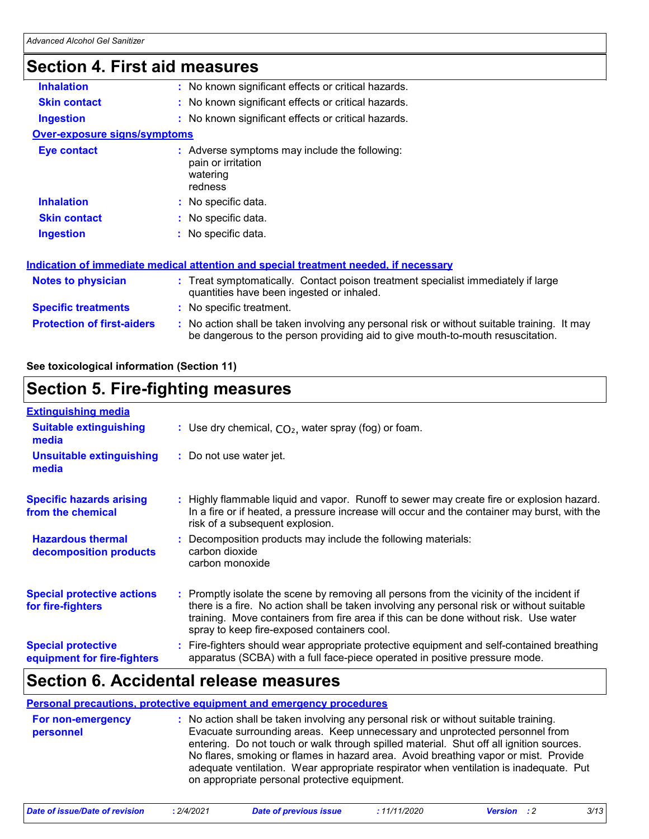## **Section 4. First aid measures**

| <b>Inhalation</b>                   | : No known significant effects or critical hazards.                                                                                                                           |
|-------------------------------------|-------------------------------------------------------------------------------------------------------------------------------------------------------------------------------|
| <b>Skin contact</b>                 | : No known significant effects or critical hazards.                                                                                                                           |
| <b>Ingestion</b>                    | : No known significant effects or critical hazards.                                                                                                                           |
| <b>Over-exposure signs/symptoms</b> |                                                                                                                                                                               |
| Eye contact                         | : Adverse symptoms may include the following:<br>pain or irritation<br>watering<br>redness                                                                                    |
| <b>Inhalation</b>                   | : No specific data.                                                                                                                                                           |
| <b>Skin contact</b>                 | : No specific data.                                                                                                                                                           |
| <b>Ingestion</b>                    | No specific data.                                                                                                                                                             |
|                                     | <u>Indication of immediate medical attention and special treatment needed, if necessary</u>                                                                                   |
| <b>Notes to physician</b>           | : Treat symptomatically. Contact poison treatment specialist immediately if large<br>quantities have been ingested or inhaled.                                                |
| <b>Specific treatments</b>          | : No specific treatment.                                                                                                                                                      |
| <b>Protection of first-aiders</b>   | : No action shall be taken involving any personal risk or without suitable training. It may<br>be dangerous to the person providing aid to give mouth-to-mouth resuscitation. |

**See toxicological information (Section 11)**

## **Section 5. Fire-fighting measures**

| <b>Extinguishing media</b>                               |                                                                                                                                                                                                                                                                                                                               |
|----------------------------------------------------------|-------------------------------------------------------------------------------------------------------------------------------------------------------------------------------------------------------------------------------------------------------------------------------------------------------------------------------|
| <b>Suitable extinguishing</b><br>media                   | : Use dry chemical, $CO2$ , water spray (fog) or foam.                                                                                                                                                                                                                                                                        |
| <b>Unsuitable extinguishing</b><br>media                 | : Do not use water jet.                                                                                                                                                                                                                                                                                                       |
| <b>Specific hazards arising</b><br>from the chemical     | : Highly flammable liquid and vapor. Runoff to sewer may create fire or explosion hazard.<br>In a fire or if heated, a pressure increase will occur and the container may burst, with the<br>risk of a subsequent explosion.                                                                                                  |
| <b>Hazardous thermal</b><br>decomposition products       | : Decomposition products may include the following materials:<br>carbon dioxide<br>carbon monoxide                                                                                                                                                                                                                            |
| <b>Special protective actions</b><br>for fire-fighters   | : Promptly isolate the scene by removing all persons from the vicinity of the incident if<br>there is a fire. No action shall be taken involving any personal risk or without suitable<br>training. Move containers from fire area if this can be done without risk. Use water<br>spray to keep fire-exposed containers cool. |
| <b>Special protective</b><br>equipment for fire-fighters | Fire-fighters should wear appropriate protective equipment and self-contained breathing<br>apparatus (SCBA) with a full face-piece operated in positive pressure mode.                                                                                                                                                        |

## **Section 6. Accidental release measures**

### **Personal precautions, protective equipment and emergency procedures**

| For non-emergency | : No action shall be taken involving any personal risk or without suitable training.    |
|-------------------|-----------------------------------------------------------------------------------------|
| personnel         | Evacuate surrounding areas. Keep unnecessary and unprotected personnel from             |
|                   | entering. Do not touch or walk through spilled material. Shut off all ignition sources. |
|                   | No flares, smoking or flames in hazard area. Avoid breathing vapor or mist. Provide     |
|                   | adequate ventilation. Wear appropriate respirator when ventilation is inadequate. Put   |
|                   | on appropriate personal protective equipment.                                           |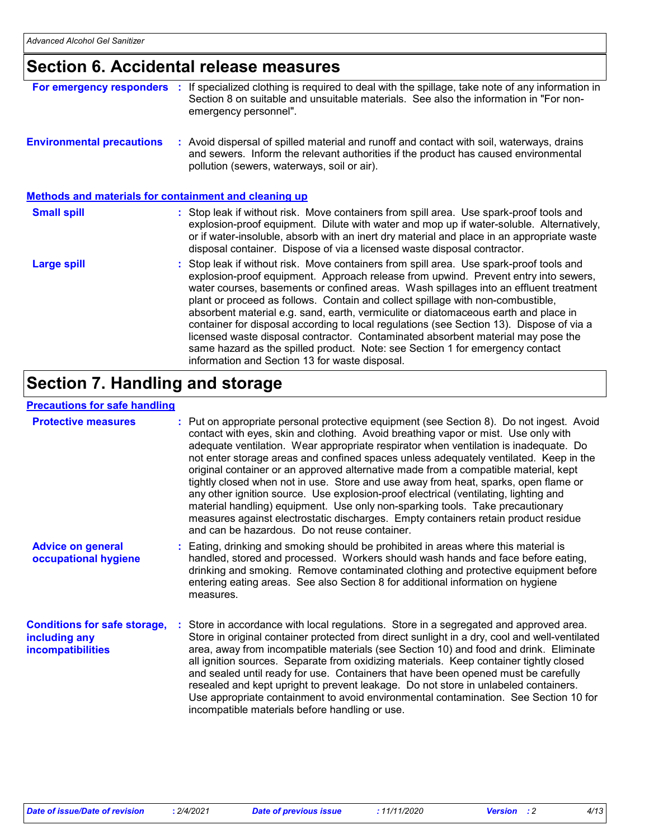## **Section 6. Accidental release measures**

| For emergency responders                                     | If specialized clothing is required to deal with the spillage, take note of any information in<br>Section 8 on suitable and unsuitable materials. See also the information in "For non-<br>emergency personnel".                                                                                                                                                                                                                                                                                                                                                                                                                                                                                                                                                     |
|--------------------------------------------------------------|----------------------------------------------------------------------------------------------------------------------------------------------------------------------------------------------------------------------------------------------------------------------------------------------------------------------------------------------------------------------------------------------------------------------------------------------------------------------------------------------------------------------------------------------------------------------------------------------------------------------------------------------------------------------------------------------------------------------------------------------------------------------|
| <b>Environmental precautions</b>                             | : Avoid dispersal of spilled material and runoff and contact with soil, waterways, drains<br>and sewers. Inform the relevant authorities if the product has caused environmental<br>pollution (sewers, waterways, soil or air).                                                                                                                                                                                                                                                                                                                                                                                                                                                                                                                                      |
| <b>Methods and materials for containment and cleaning up</b> |                                                                                                                                                                                                                                                                                                                                                                                                                                                                                                                                                                                                                                                                                                                                                                      |
| <b>Small spill</b>                                           | : Stop leak if without risk. Move containers from spill area. Use spark-proof tools and<br>explosion-proof equipment. Dilute with water and mop up if water-soluble. Alternatively,<br>or if water-insoluble, absorb with an inert dry material and place in an appropriate waste<br>disposal container. Dispose of via a licensed waste disposal contractor.                                                                                                                                                                                                                                                                                                                                                                                                        |
| <b>Large spill</b>                                           | : Stop leak if without risk. Move containers from spill area. Use spark-proof tools and<br>explosion-proof equipment. Approach release from upwind. Prevent entry into sewers,<br>water courses, basements or confined areas. Wash spillages into an effluent treatment<br>plant or proceed as follows. Contain and collect spillage with non-combustible,<br>absorbent material e.g. sand, earth, vermiculite or diatomaceous earth and place in<br>container for disposal according to local regulations (see Section 13). Dispose of via a<br>licensed waste disposal contractor. Contaminated absorbent material may pose the<br>same hazard as the spilled product. Note: see Section 1 for emergency contact<br>information and Section 13 for waste disposal. |

## **Section 7. Handling and storage**

### **Precautions for safe handling**

| <b>Protective measures</b>                                                       | : Put on appropriate personal protective equipment (see Section 8). Do not ingest. Avoid<br>contact with eyes, skin and clothing. Avoid breathing vapor or mist. Use only with<br>adequate ventilation. Wear appropriate respirator when ventilation is inadequate. Do<br>not enter storage areas and confined spaces unless adequately ventilated. Keep in the<br>original container or an approved alternative made from a compatible material, kept<br>tightly closed when not in use. Store and use away from heat, sparks, open flame or<br>any other ignition source. Use explosion-proof electrical (ventilating, lighting and<br>material handling) equipment. Use only non-sparking tools. Take precautionary<br>measures against electrostatic discharges. Empty containers retain product residue<br>and can be hazardous. Do not reuse container. |
|----------------------------------------------------------------------------------|---------------------------------------------------------------------------------------------------------------------------------------------------------------------------------------------------------------------------------------------------------------------------------------------------------------------------------------------------------------------------------------------------------------------------------------------------------------------------------------------------------------------------------------------------------------------------------------------------------------------------------------------------------------------------------------------------------------------------------------------------------------------------------------------------------------------------------------------------------------|
| <b>Advice on general</b><br>occupational hygiene                                 | : Eating, drinking and smoking should be prohibited in areas where this material is<br>handled, stored and processed. Workers should wash hands and face before eating,<br>drinking and smoking. Remove contaminated clothing and protective equipment before<br>entering eating areas. See also Section 8 for additional information on hygiene<br>measures.                                                                                                                                                                                                                                                                                                                                                                                                                                                                                                 |
| <b>Conditions for safe storage,</b><br>including any<br><b>incompatibilities</b> | : Store in accordance with local regulations. Store in a segregated and approved area.<br>Store in original container protected from direct sunlight in a dry, cool and well-ventilated<br>area, away from incompatible materials (see Section 10) and food and drink. Eliminate<br>all ignition sources. Separate from oxidizing materials. Keep container tightly closed<br>and sealed until ready for use. Containers that have been opened must be carefully<br>resealed and kept upright to prevent leakage. Do not store in unlabeled containers.<br>Use appropriate containment to avoid environmental contamination. See Section 10 for<br>incompatible materials before handling or use.                                                                                                                                                             |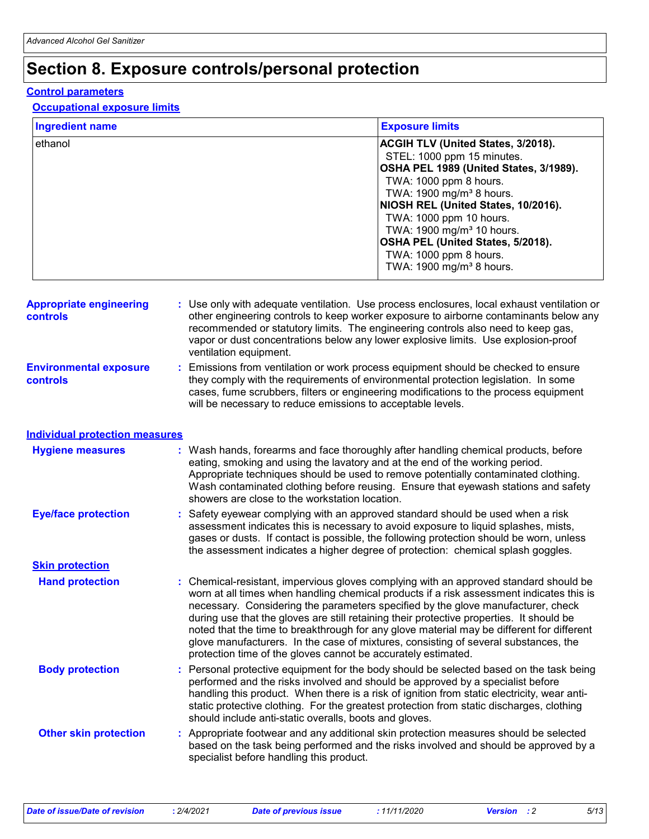## **Section 8. Exposure controls/personal protection**

### **Control parameters**

### **Occupational exposure limits**

| <b>Ingredient name</b> | <b>Exposure limits</b>                    |
|------------------------|-------------------------------------------|
| ethanol                | <b>ACGIH TLV (United States, 3/2018).</b> |
|                        | STEL: 1000 ppm 15 minutes.                |
|                        | OSHA PEL 1989 (United States, 3/1989).    |
|                        | TWA: 1000 ppm 8 hours.                    |
|                        | TWA: 1900 mg/m <sup>3</sup> 8 hours.      |
|                        | NIOSH REL (United States, 10/2016).       |
|                        | TWA: 1000 ppm 10 hours.                   |
|                        | TWA: 1900 mg/m <sup>3</sup> 10 hours.     |
|                        | OSHA PEL (United States, 5/2018).         |
|                        | TWA: 1000 ppm 8 hours.                    |
|                        | TWA: 1900 mg/m <sup>3</sup> 8 hours.      |

| <b>Appropriate engineering</b><br>controls | : Use only with adequate ventilation. Use process enclosures, local exhaust ventilation or<br>other engineering controls to keep worker exposure to airborne contaminants below any<br>recommended or statutory limits. The engineering controls also need to keep gas,<br>vapor or dust concentrations below any lower explosive limits. Use explosion-proof<br>ventilation equipment.                                                                                                                                                                                                                                |
|--------------------------------------------|------------------------------------------------------------------------------------------------------------------------------------------------------------------------------------------------------------------------------------------------------------------------------------------------------------------------------------------------------------------------------------------------------------------------------------------------------------------------------------------------------------------------------------------------------------------------------------------------------------------------|
| <b>Environmental exposure</b><br>controls  | Emissions from ventilation or work process equipment should be checked to ensure<br>they comply with the requirements of environmental protection legislation. In some<br>cases, fume scrubbers, filters or engineering modifications to the process equipment<br>will be necessary to reduce emissions to acceptable levels.                                                                                                                                                                                                                                                                                          |
| <b>Individual protection measures</b>      |                                                                                                                                                                                                                                                                                                                                                                                                                                                                                                                                                                                                                        |
| <b>Hygiene measures</b>                    | : Wash hands, forearms and face thoroughly after handling chemical products, before<br>eating, smoking and using the lavatory and at the end of the working period.<br>Appropriate techniques should be used to remove potentially contaminated clothing.<br>Wash contaminated clothing before reusing. Ensure that eyewash stations and safety<br>showers are close to the workstation location.                                                                                                                                                                                                                      |
| <b>Eye/face protection</b>                 | : Safety eyewear complying with an approved standard should be used when a risk<br>assessment indicates this is necessary to avoid exposure to liquid splashes, mists,<br>gases or dusts. If contact is possible, the following protection should be worn, unless<br>the assessment indicates a higher degree of protection: chemical splash goggles.                                                                                                                                                                                                                                                                  |
| <b>Skin protection</b>                     |                                                                                                                                                                                                                                                                                                                                                                                                                                                                                                                                                                                                                        |
| <b>Hand protection</b>                     | : Chemical-resistant, impervious gloves complying with an approved standard should be<br>worn at all times when handling chemical products if a risk assessment indicates this is<br>necessary. Considering the parameters specified by the glove manufacturer, check<br>during use that the gloves are still retaining their protective properties. It should be<br>noted that the time to breakthrough for any glove material may be different for different<br>glove manufacturers. In the case of mixtures, consisting of several substances, the<br>protection time of the gloves cannot be accurately estimated. |
| <b>Body protection</b>                     | : Personal protective equipment for the body should be selected based on the task being<br>performed and the risks involved and should be approved by a specialist before<br>handling this product. When there is a risk of ignition from static electricity, wear anti-<br>static protective clothing. For the greatest protection from static discharges, clothing<br>should include anti-static overalls, boots and gloves.                                                                                                                                                                                         |
| <b>Other skin protection</b>               | : Appropriate footwear and any additional skin protection measures should be selected<br>based on the task being performed and the risks involved and should be approved by a<br>specialist before handling this product.                                                                                                                                                                                                                                                                                                                                                                                              |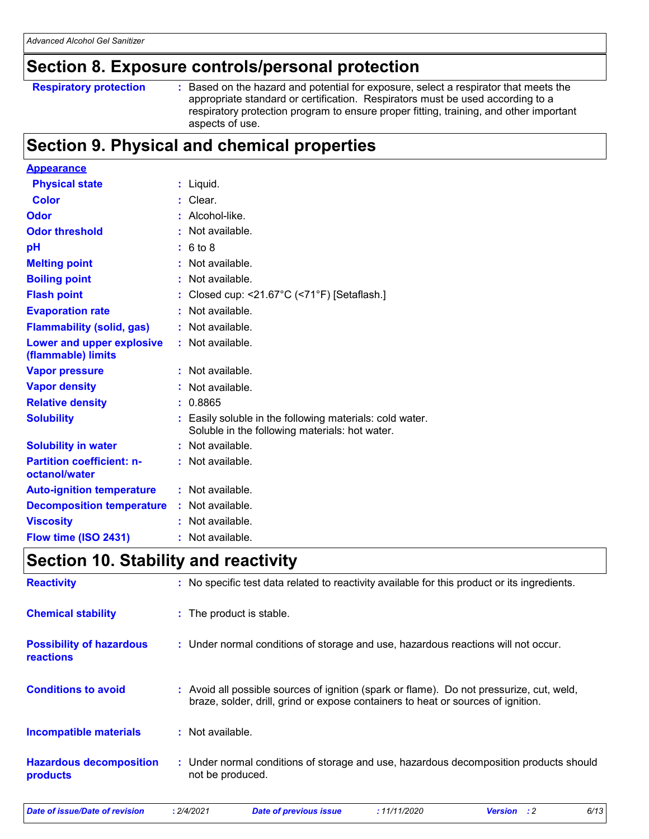## **Section 8. Exposure controls/personal protection**

**Respiratory protection :**

: Based on the hazard and potential for exposure, select a respirator that meets the appropriate standard or certification. Respirators must be used according to a respiratory protection program to ensure proper fitting, training, and other important aspects of use.

## **Section 9. Physical and chemical properties**

| <b>Appearance</b>                                 |                                                                                                          |
|---------------------------------------------------|----------------------------------------------------------------------------------------------------------|
| <b>Physical state</b>                             | $:$ Liquid.                                                                                              |
| <b>Color</b>                                      | $:$ Clear.                                                                                               |
| Odor                                              | Alcohol-like.                                                                                            |
| <b>Odor threshold</b>                             | Not available.                                                                                           |
| pH                                                | : 6 to 8                                                                                                 |
| <b>Melting point</b>                              | : Not available.                                                                                         |
| <b>Boiling point</b>                              | Not available.                                                                                           |
| <b>Flash point</b>                                | Closed cup: <21.67°C (<71°F) [Setaflash.]                                                                |
| <b>Evaporation rate</b>                           | Not available.                                                                                           |
| <b>Flammability (solid, gas)</b>                  | Not available.                                                                                           |
| Lower and upper explosive<br>(flammable) limits   | $:$ Not available.                                                                                       |
| <b>Vapor pressure</b>                             | : Not available.                                                                                         |
| <b>Vapor density</b>                              | Not available.                                                                                           |
| <b>Relative density</b>                           | 0.8865                                                                                                   |
| <b>Solubility</b>                                 | Easily soluble in the following materials: cold water.<br>Soluble in the following materials: hot water. |
| <b>Solubility in water</b>                        | : Not available.                                                                                         |
| <b>Partition coefficient: n-</b><br>octanol/water | : Not available.                                                                                         |
| <b>Auto-ignition temperature</b>                  | : Not available.                                                                                         |
| <b>Decomposition temperature</b>                  | Not available.                                                                                           |
| <b>Viscosity</b>                                  | Not available.                                                                                           |
| Flow time (ISO 2431)                              | $:$ Not available.                                                                                       |

## **Section 10. Stability and reactivity**

| <b>Reactivity</b>                            | : No specific test data related to reactivity available for this product or its ingredients.                                                                               |
|----------------------------------------------|----------------------------------------------------------------------------------------------------------------------------------------------------------------------------|
| <b>Chemical stability</b>                    | : The product is stable.                                                                                                                                                   |
| <b>Possibility of hazardous</b><br>reactions | : Under normal conditions of storage and use, hazardous reactions will not occur.                                                                                          |
| <b>Conditions to avoid</b>                   | Avoid all possible sources of ignition (spark or flame). Do not pressurize, cut, weld,<br>braze, solder, drill, grind or expose containers to heat or sources of ignition. |
| <b>Incompatible materials</b>                | Not available.                                                                                                                                                             |
| <b>Hazardous decomposition</b><br>products   | : Under normal conditions of storage and use, hazardous decomposition products should<br>not be produced.                                                                  |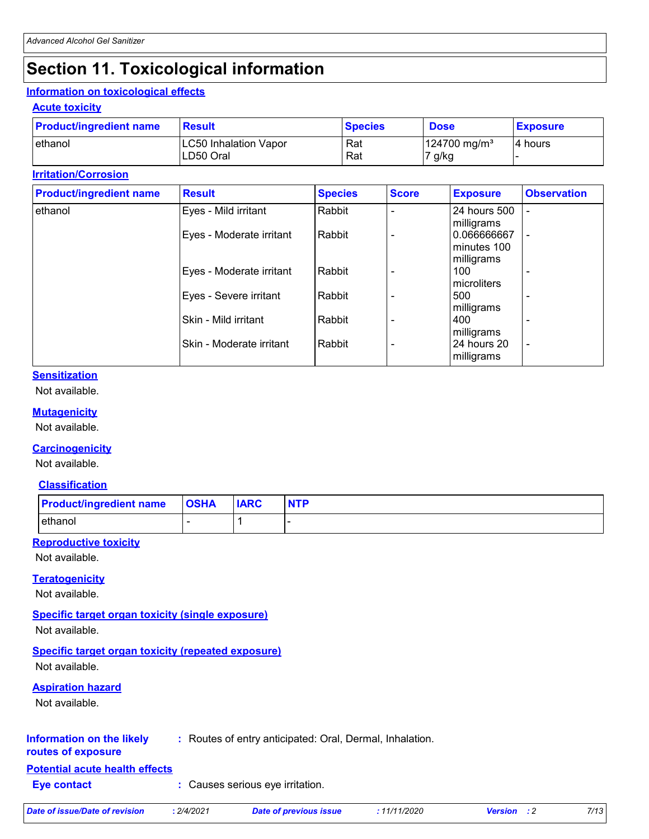# **Section 11. Toxicological information**

### **Information on toxicological effects**

### **Acute toxicity**

| <b>Product/ingredient name</b> | <b>Result</b>                | <b>Species</b> | <b>Dose</b>                | <b>Exposure</b> |
|--------------------------------|------------------------------|----------------|----------------------------|-----------------|
| lethanol                       | <b>LC50 Inhalation Vapor</b> | Rat            | $124700$ mg/m <sup>3</sup> | 4 hours         |
|                                | LD50 Oral                    | Rat            | 7 g/kg                     |                 |

### **Irritation/Corrosion**

| <b>Product/ingredient name</b> | <b>Result</b>            | <b>Species</b> | <b>Score</b> | <b>Exposure</b>              | <b>Observation</b>       |
|--------------------------------|--------------------------|----------------|--------------|------------------------------|--------------------------|
| ethanol                        | Eyes - Mild irritant     | Rabbit         |              | 24 hours 500                 | $\overline{\phantom{0}}$ |
|                                |                          |                |              | milligrams                   |                          |
|                                | Eyes - Moderate irritant | Rabbit         |              | 0.066666667<br>l minutes 100 | $\overline{\phantom{a}}$ |
|                                |                          |                |              | milligrams                   |                          |
|                                | Eyes - Moderate irritant | Rabbit         |              | 100                          |                          |
|                                |                          |                |              | microliters                  |                          |
|                                | Eyes - Severe irritant   | Rabbit         |              | 500                          |                          |
|                                |                          |                |              | milligrams                   |                          |
|                                | Skin - Mild irritant     | Rabbit         |              | 400                          |                          |
|                                |                          |                |              | milligrams                   |                          |
|                                | Skin - Moderate irritant | Rabbit         |              | l 24 hours 20                | $\overline{\phantom{a}}$ |
|                                |                          |                |              | milligrams                   |                          |

### **Sensitization**

Not available.

### **Mutagenicity**

Not available.

### **Carcinogenicity**

Not available.

### **Classification**

| <b>Product/ingredient name</b> | <b>OSHA</b> | <b>IARC</b> | <b>NTP</b> |
|--------------------------------|-------------|-------------|------------|
| ethanol                        |             |             |            |

## **Reproductive toxicity**

Not available.

### **Teratogenicity**

Not available.

## **Specific target organ toxicity (single exposure)**

Not available.

### **Specific target organ toxicity (repeated exposure)**

Not available.

### **Aspiration hazard**

Not available.

### **Information on the likely :** Routes of entry anticipated: Oral, Dermal, Inhalation.

### **routes of exposure**

**Potential acute health effects**

### **Eye contact :** Causes serious eye irritation.

| Date of issue/Date of revision | 2/4/2021 | Date of previous issue | 11/11/2020 | <b>Version</b> : 2 | 7/13 |
|--------------------------------|----------|------------------------|------------|--------------------|------|
|                                |          |                        |            |                    |      |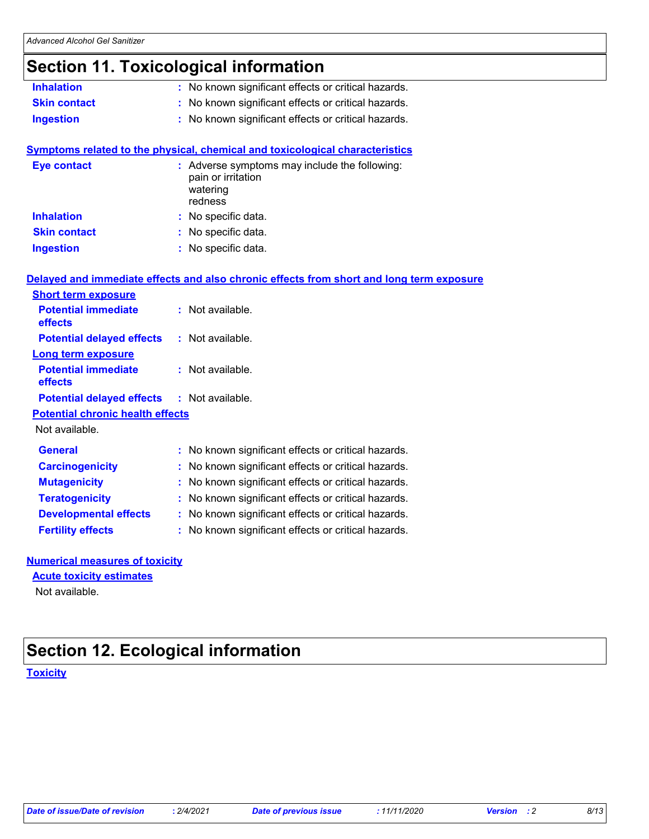## **Section 11. Toxicological information**

- **Inhalation :** No known significant effects or critical hazards.
- **Skin contact :** No known significant effects or critical hazards.
- **Ingestion :** No known significant effects or critical hazards.

### **Symptoms related to the physical, chemical and toxicological characteristics**

| <b>Eye contact</b>  | : Adverse symptoms may include the following:<br>pain or irritation<br>watering<br>redness |
|---------------------|--------------------------------------------------------------------------------------------|
| <b>Inhalation</b>   | : No specific data.                                                                        |
| <b>Skin contact</b> | : No specific data.                                                                        |
| <b>Ingestion</b>    | : No specific data.                                                                        |

|                                                   | Delayed and immediate effects and also chronic effects from short and long term exposure |
|---------------------------------------------------|------------------------------------------------------------------------------------------|
| <b>Short term exposure</b>                        |                                                                                          |
| <b>Potential immediate</b><br><b>effects</b>      | : Not available.                                                                         |
| <b>Potential delayed effects : Not available.</b> |                                                                                          |
| <b>Long term exposure</b>                         |                                                                                          |
| <b>Potential immediate</b><br>effects             | : Not available.                                                                         |
| <b>Potential delayed effects : Not available.</b> |                                                                                          |
| <b>Potential chronic health effects</b>           |                                                                                          |
| Not available.                                    |                                                                                          |
| <b>General</b>                                    | : No known significant effects or critical hazards.                                      |
| <b>Carcinogenicity</b>                            | : No known significant effects or critical hazards.                                      |
| <b>Mutagenicity</b>                               | : No known significant effects or critical hazards.                                      |
| <b>Teratogenicity</b>                             | : No known significant effects or critical hazards.                                      |
| <b>Developmental effects</b>                      | : No known significant effects or critical hazards.                                      |
| <b>Fertility effects</b>                          | : No known significant effects or critical hazards.                                      |

## **Numerical measures of toxicity**

**Acute toxicity estimates**

Not available.

## **Section 12. Ecological information**

### **Toxicity**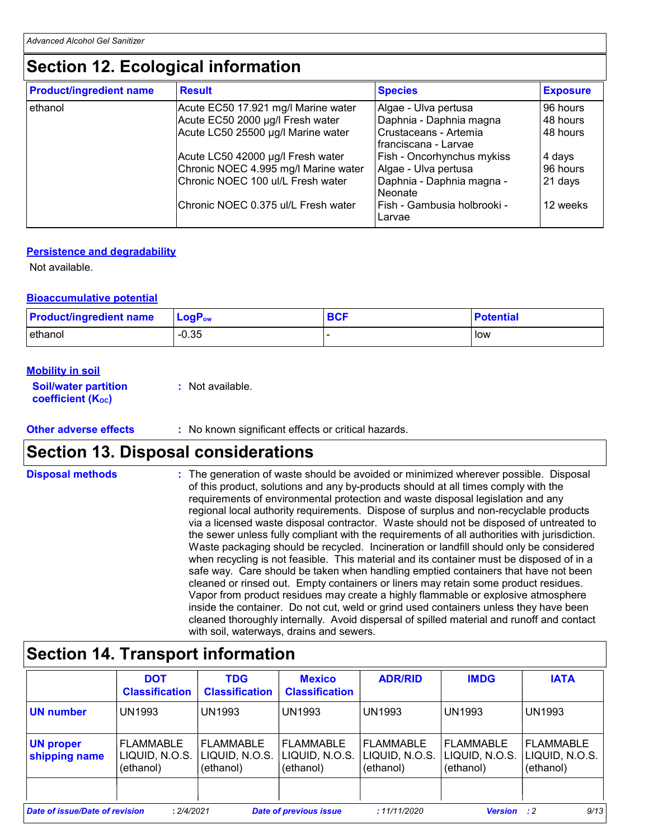## **Section 12. Ecological information**

| <b>Product/ingredient name</b> | <b>Result</b>                        | <b>Species</b>                                  | <b>Exposure</b> |
|--------------------------------|--------------------------------------|-------------------------------------------------|-----------------|
| ethanol                        | Acute EC50 17.921 mg/l Marine water  | Algae - Ulva pertusa                            | 96 hours        |
|                                | Acute EC50 2000 µg/l Fresh water     | Daphnia - Daphnia magna                         | 48 hours        |
|                                | Acute LC50 25500 µg/l Marine water   | Crustaceans - Artemia<br>l franciscana - Larvae | 48 hours        |
|                                | Acute LC50 42000 µg/l Fresh water    | Fish - Oncorhynchus mykiss                      | 4 days          |
|                                | Chronic NOEC 4.995 mg/l Marine water | Algae - Ulva pertusa                            | 96 hours        |
|                                | Chronic NOEC 100 ul/L Fresh water    | Daphnia - Daphnia magna -<br>Neonate            | 21 days         |
|                                | Chronic NOEC 0.375 ul/L Fresh water  | Fish - Gambusia holbrooki -<br>Larvae           | 12 weeks        |

### **Persistence and degradability**

Not available.

### **Bioaccumulative potential**

| <b>Product/ingredient name</b> | $\mathsf{LogP}_\mathsf{ow}$ | <b>BCF</b> | <b>Potential</b> |
|--------------------------------|-----------------------------|------------|------------------|
| ethanol                        | $-0.35$                     |            | low              |

### **Mobility in soil**

**Soil/water partition coefficient (KOC) :** Not available.

**Other adverse effects** : No known significant effects or critical hazards.

## **Section 13. Disposal considerations**

| <b>Disposal methods</b> | : The generation of waste should be avoided or minimized wherever possible. Disposal<br>of this product, solutions and any by-products should at all times comply with the<br>requirements of environmental protection and waste disposal legislation and any<br>regional local authority requirements. Dispose of surplus and non-recyclable products<br>via a licensed waste disposal contractor. Waste should not be disposed of untreated to<br>the sewer unless fully compliant with the requirements of all authorities with jurisdiction.<br>Waste packaging should be recycled. Incineration or landfill should only be considered<br>when recycling is not feasible. This material and its container must be disposed of in a<br>safe way. Care should be taken when handling emptied containers that have not been<br>cleaned or rinsed out. Empty containers or liners may retain some product residues.<br>Vapor from product residues may create a highly flammable or explosive atmosphere |
|-------------------------|----------------------------------------------------------------------------------------------------------------------------------------------------------------------------------------------------------------------------------------------------------------------------------------------------------------------------------------------------------------------------------------------------------------------------------------------------------------------------------------------------------------------------------------------------------------------------------------------------------------------------------------------------------------------------------------------------------------------------------------------------------------------------------------------------------------------------------------------------------------------------------------------------------------------------------------------------------------------------------------------------------|
|                         | inside the container. Do not cut, weld or grind used containers unless they have been<br>cleaned thoroughly internally. Avoid dispersal of spilled material and runoff and contact<br>with soil, waterways, drains and sewers.                                                                                                                                                                                                                                                                                                                                                                                                                                                                                                                                                                                                                                                                                                                                                                           |

|                                   | <b>DOT</b><br><b>Classification</b>             | <b>TDG</b><br><b>Classification</b>              | <b>Mexico</b><br><b>Classification</b>          | <b>ADR/RID</b>                                  | <b>IMDG</b>                                     | <b>IATA</b>                                     |
|-----------------------------------|-------------------------------------------------|--------------------------------------------------|-------------------------------------------------|-------------------------------------------------|-------------------------------------------------|-------------------------------------------------|
| <b>UN number</b>                  | <b>UN1993</b>                                   | <b>UN1993</b>                                    | <b>UN1993</b>                                   | UN1993                                          | <b>UN1993</b>                                   | <b>UN1993</b>                                   |
| <b>UN proper</b><br>shipping name | <b>FLAMMABLE</b><br>LIQUID, N.O.S.<br>(ethanol) | <b> FLAMMABLE</b><br>LIQUID, N.O.S.<br>(ethanol) | <b>FLAMMABLE</b><br>LIQUID, N.O.S.<br>(ethanol) | <b>FLAMMABLE</b><br>LIQUID, N.O.S.<br>(ethanol) | <b>FLAMMABLE</b><br>LIQUID, N.O.S.<br>(ethanol) | <b>FLAMMABLE</b><br>LIQUID, N.O.S.<br>(ethanol) |
| Date of issue/Date of revision    | : 2/4/2021                                      |                                                  | <b>Date of previous issue</b>                   | :11/11/2020                                     | <b>Version</b> : 2                              | 9/13                                            |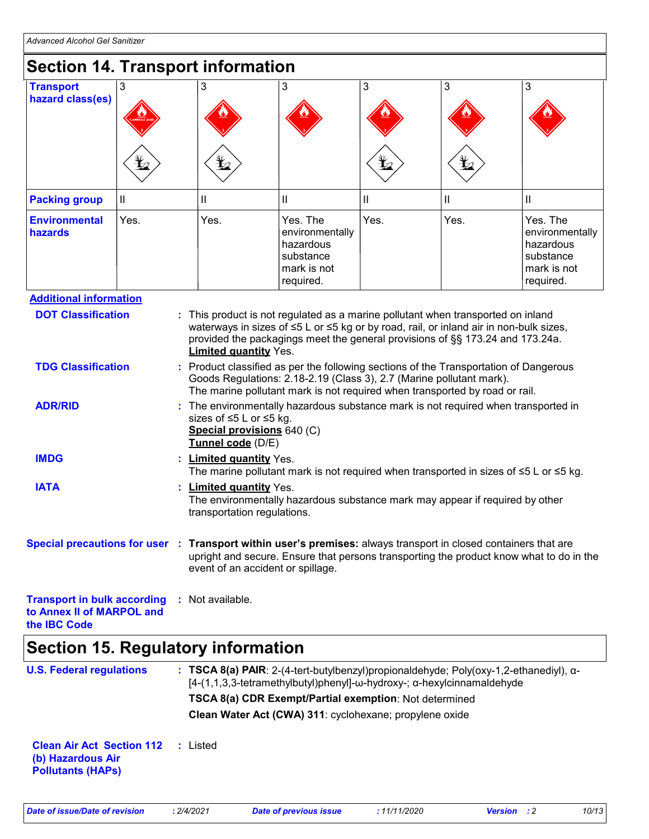| wwanceu Alconol Oel Sannize                                                                                                                                                                                                                                                                                                                                                                                                                                                        |               |                                                                                                                                                                                                                                                 |                                                                                                                                   |                                                                                   |      |      |                                                                                   |
|------------------------------------------------------------------------------------------------------------------------------------------------------------------------------------------------------------------------------------------------------------------------------------------------------------------------------------------------------------------------------------------------------------------------------------------------------------------------------------|---------------|-------------------------------------------------------------------------------------------------------------------------------------------------------------------------------------------------------------------------------------------------|-----------------------------------------------------------------------------------------------------------------------------------|-----------------------------------------------------------------------------------|------|------|-----------------------------------------------------------------------------------|
| <b>Section 14. Transport information</b>                                                                                                                                                                                                                                                                                                                                                                                                                                           |               |                                                                                                                                                                                                                                                 |                                                                                                                                   |                                                                                   |      |      |                                                                                   |
| <b>Transport</b><br>hazard class(es)                                                                                                                                                                                                                                                                                                                                                                                                                                               | 3             |                                                                                                                                                                                                                                                 | 3                                                                                                                                 | 3                                                                                 | 3    | 3    | 3                                                                                 |
| <b>Packing group</b>                                                                                                                                                                                                                                                                                                                                                                                                                                                               | $\mathbf{II}$ |                                                                                                                                                                                                                                                 | Ш                                                                                                                                 | $\mathbf{I}$                                                                      | Ш    | Ш    | Ш                                                                                 |
| <b>Environmental</b><br>hazards                                                                                                                                                                                                                                                                                                                                                                                                                                                    | Yes.          |                                                                                                                                                                                                                                                 | Yes.                                                                                                                              | Yes. The<br>environmentally<br>hazardous<br>substance<br>mark is not<br>required. | Yes. | Yes. | Yes. The<br>environmentally<br>hazardous<br>substance<br>mark is not<br>required. |
| <b>Additional information</b>                                                                                                                                                                                                                                                                                                                                                                                                                                                      |               |                                                                                                                                                                                                                                                 |                                                                                                                                   |                                                                                   |      |      |                                                                                   |
| waterways in sizes of ≤5 L or ≤5 kg or by road, rail, or inland air in non-bulk sizes,<br>provided the packagings meet the general provisions of §§ 173.24 and 173.24a.<br><b>Limited quantity Yes.</b><br><b>TDG Classification</b><br>Product classified as per the following sections of the Transportation of Dangerous<br>Goods Regulations: 2.18-2.19 (Class 3), 2.7 (Marine pollutant mark).<br>The marine pollutant mark is not required when transported by road or rail. |               |                                                                                                                                                                                                                                                 |                                                                                                                                   |                                                                                   |      |      |                                                                                   |
| <b>ADR/RID</b>                                                                                                                                                                                                                                                                                                                                                                                                                                                                     |               | The environmentally hazardous substance mark is not required when transported in<br>sizes of ≤5 L or ≤5 kg.<br>Special provisions 640 (C)<br>Tunnel code (D/E)                                                                                  |                                                                                                                                   |                                                                                   |      |      |                                                                                   |
| <b>IMDG</b>                                                                                                                                                                                                                                                                                                                                                                                                                                                                        |               | t.                                                                                                                                                                                                                                              | <b>Limited quantity Yes.</b><br>The marine pollutant mark is not required when transported in sizes of $\leq 5$ L or $\leq 5$ kg. |                                                                                   |      |      |                                                                                   |
| <b>IATA</b>                                                                                                                                                                                                                                                                                                                                                                                                                                                                        |               | <b>Limited quantity Yes.</b><br>The environmentally hazardous substance mark may appear if required by other<br>transportation regulations.                                                                                                     |                                                                                                                                   |                                                                                   |      |      |                                                                                   |
|                                                                                                                                                                                                                                                                                                                                                                                                                                                                                    |               | Special precautions for user : Transport within user's premises: always transport in closed containers that are<br>upright and secure. Ensure that persons transporting the product know what to do in the<br>event of an accident or spillage. |                                                                                                                                   |                                                                                   |      |      |                                                                                   |
| <b>Transport in bulk according</b><br>to Annex II of MARPOL and<br>the IBC Code                                                                                                                                                                                                                                                                                                                                                                                                    |               |                                                                                                                                                                                                                                                 | : Not available.                                                                                                                  |                                                                                   |      |      |                                                                                   |

## **Section 15. Regulatory information**

| <b>U.S. Federal regulations</b>                                                   | : TSCA 8(a) PAIR: 2-(4-tert-butylbenzyl)propionaldehyde; Poly(oxy-1,2-ethanediyl), $\alpha$ -<br>$[4-(1,1,3,3-tetramethylbutyl)phenyl]-\omega-hydroxy-$ ; $\alpha-hexylcinnamaldehyde$ |
|-----------------------------------------------------------------------------------|----------------------------------------------------------------------------------------------------------------------------------------------------------------------------------------|
|                                                                                   | TSCA 8(a) CDR Exempt/Partial exemption: Not determined                                                                                                                                 |
|                                                                                   | Clean Water Act (CWA) 311: cyclohexane; propylene oxide                                                                                                                                |
| <b>Clean Air Act Section 112</b><br>(b) Hazardous Air<br><b>Pollutants (HAPS)</b> | : Listed                                                                                                                                                                               |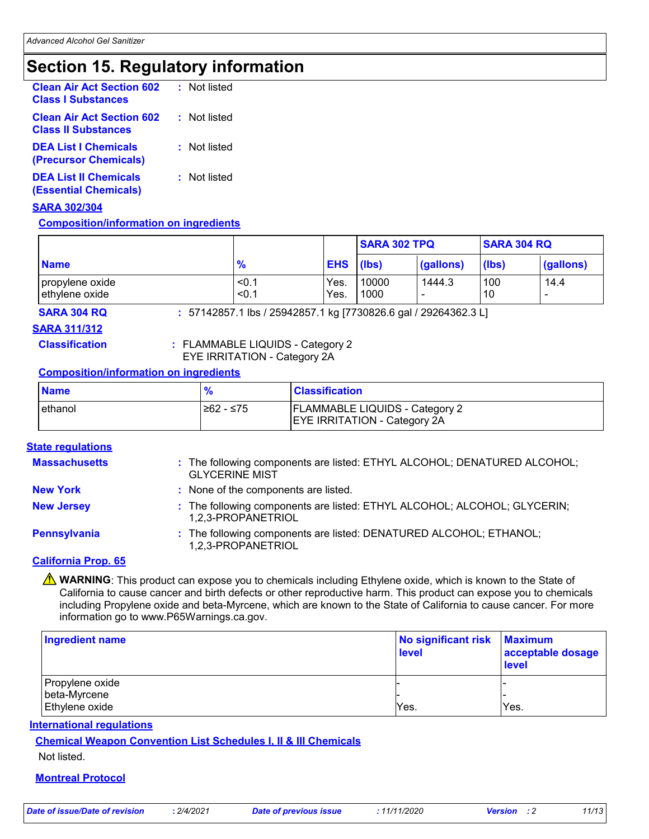## **Section 15. Regulatory information**

| <b>Clean Air Act Section 602</b><br><b>Class I Substances</b>  | : Not listed |
|----------------------------------------------------------------|--------------|
| <b>Clean Air Act Section 602</b><br><b>Class II Substances</b> | : Not listed |
| <b>DEA List I Chemicals</b><br><b>(Precursor Chemicals)</b>    | : Not listed |
| <b>DEA List II Chemicals</b><br><b>(Essential Chemicals)</b>   | : Not listed |

### **SARA 302/304**

### **Composition/information on ingredients**

|                                   |                 |                  | <b>SARA 302 TPQ</b> |           | <b>SARA 304 RQ</b> |           |
|-----------------------------------|-----------------|------------------|---------------------|-----------|--------------------|-----------|
| <b>Name</b>                       | $\frac{9}{6}$   | <b>EHS</b> (lbs) |                     | (gallons) | (lbs)              | (gallons) |
| propylene oxide<br>ethylene oxide | $<$ 0.<br>< 0.1 | Yes.<br>Yes.     | 10000<br>1000       | 1444.3    | 100<br>10          | 14.4      |

### **SARA 304 RQ :** 57142857.1 lbs / 25942857.1 kg [7730826.6 gal / 29264362.3 L]

**SARA 311/312**

**Classification :** FLAMMABLE LIQUIDS - Category 2 EYE IRRITATION - Category 2A

### **Composition/information on ingredients**

| <b>Name</b> |           | <b>Classification</b>                                                        |
|-------------|-----------|------------------------------------------------------------------------------|
| ethanol     | ≥62 - ≤75 | <b>FLAMMABLE LIQUIDS - Category 2</b><br><b>EYE IRRITATION - Category 2A</b> |

### **State regulations**

| <b>Massachusetts</b> | : The following components are listed: ETHYL ALCOHOL; DENATURED ALCOHOL;<br><b>GLYCERINE MIST</b> |
|----------------------|---------------------------------------------------------------------------------------------------|
| <b>New York</b>      | : None of the components are listed.                                                              |
| <b>New Jersey</b>    | : The following components are listed: ETHYL ALCOHOL; ALCOHOL; GLYCERIN;<br>1.2.3-PROPANETRIOL    |
| Pennsylvania         | : The following components are listed: DENATURED ALCOHOL; ETHANOL;<br>1,2,3-PROPANETRIOL          |

### **California Prop. 65**

**A WARNING**: This product can expose you to chemicals including Ethylene oxide, which is known to the State of California to cause cancer and birth defects or other reproductive harm. This product can expose you to chemicals including Propylene oxide and beta-Myrcene, which are known to the State of California to cause cancer. For more information go to www.P65Warnings.ca.gov.

| <b>Ingredient name</b>         | No significant risk<br>level | <b>Maximum</b><br>acceptable dosage<br><b>level</b> |
|--------------------------------|------------------------------|-----------------------------------------------------|
| Propylene oxide                |                              |                                                     |
| beta-Myrcene<br>Ethylene oxide | Yes.                         | Yes.                                                |

### **International regulations**

**Chemical Weapon Convention List Schedules I, II & III Chemicals**

Not listed.

### **Montreal Protocol**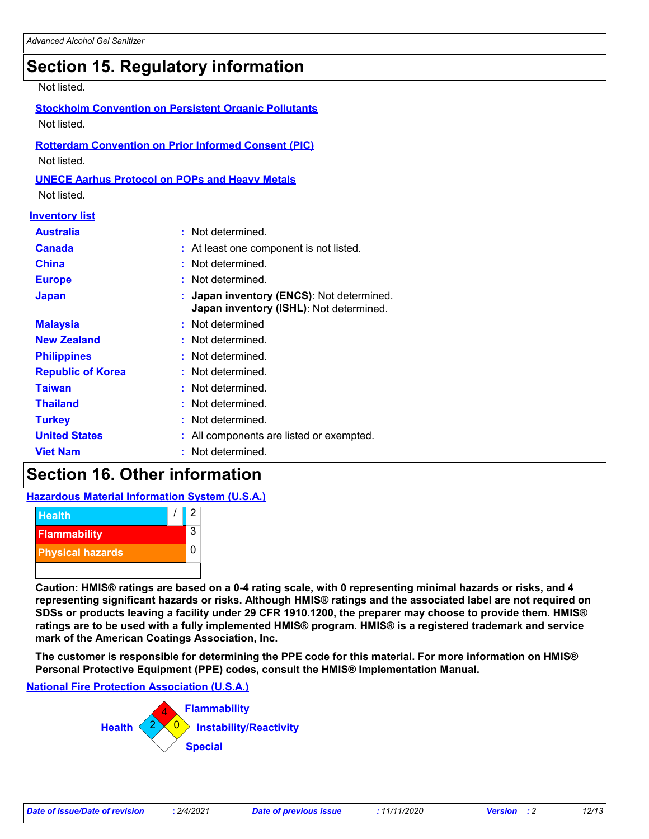## **Section 15. Regulatory information**

### Not listed.

|             |  | <b>Stockholm Convention on Persistent Organic Pollutants</b> |  |
|-------------|--|--------------------------------------------------------------|--|
| Not listed. |  |                                                              |  |
|             |  |                                                              |  |

## **Rotterdam Convention on Prior Informed Consent (PIC)**

Not listed.

### **UNECE Aarhus Protocol on POPs and Heavy Metals**

Not listed.

### **Inventory list**

| <b>Australia</b>         | : Not determined.                                                                    |
|--------------------------|--------------------------------------------------------------------------------------|
| <b>Canada</b>            | : At least one component is not listed.                                              |
| <b>China</b>             | : Not determined.                                                                    |
| <b>Europe</b>            | : Not determined.                                                                    |
| <b>Japan</b>             | : Japan inventory (ENCS): Not determined.<br>Japan inventory (ISHL): Not determined. |
| <b>Malaysia</b>          | : Not determined                                                                     |
| <b>New Zealand</b>       | : Not determined.                                                                    |
| <b>Philippines</b>       | : Not determined.                                                                    |
| <b>Republic of Korea</b> | : Not determined.                                                                    |
| <b>Taiwan</b>            | : Not determined.                                                                    |
| <b>Thailand</b>          | : Not determined.                                                                    |
| <b>Turkey</b>            | : Not determined.                                                                    |
| <b>United States</b>     | : All components are listed or exempted.                                             |
| <b>Viet Nam</b>          | : Not determined.                                                                    |

## **Section 16. Other information**

**Hazardous Material Information System (U.S.A.)**



**Caution: HMIS® ratings are based on a 0-4 rating scale, with 0 representing minimal hazards or risks, and 4 representing significant hazards or risks. Although HMIS® ratings and the associated label are not required on SDSs or products leaving a facility under 29 CFR 1910.1200, the preparer may choose to provide them. HMIS® ratings are to be used with a fully implemented HMIS® program. HMIS® is a registered trademark and service mark of the American Coatings Association, Inc.**

**The customer is responsible for determining the PPE code for this material. For more information on HMIS® Personal Protective Equipment (PPE) codes, consult the HMIS® Implementation Manual.**

### **National Fire Protection Association (U.S.A.)**